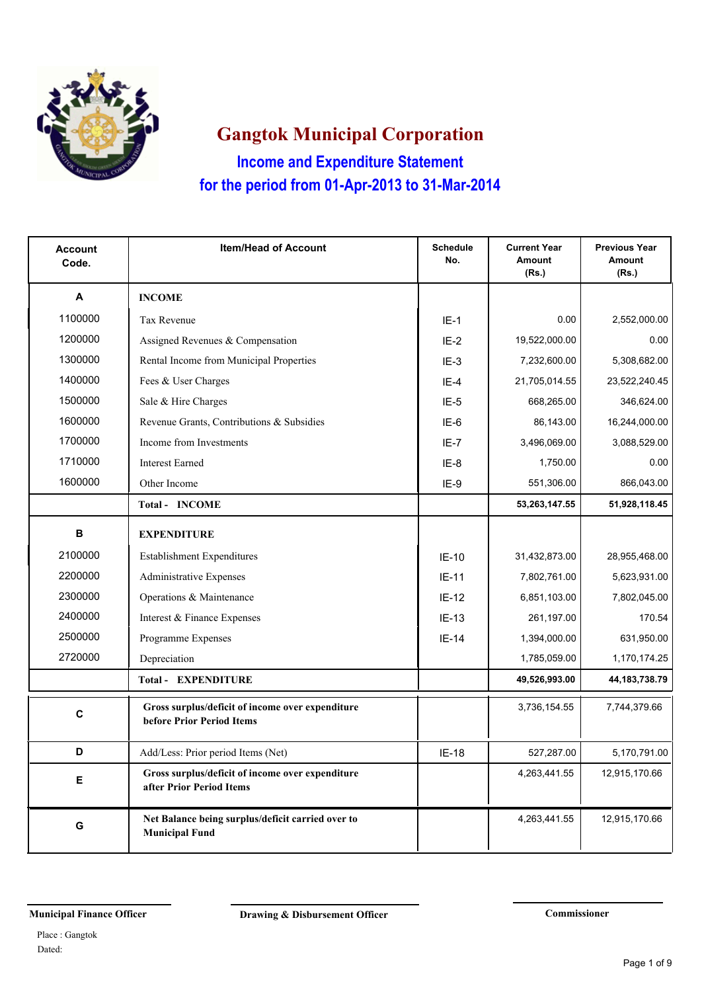

**Income and Expenditure Statement Gangtok Municipal Corporation for the period from 01-Apr-2013 to 31-Mar-2014**

| <b>Account</b><br>Code. | <b>Item/Head of Account</b>                                                   | <b>Schedule</b><br>No. | <b>Current Year</b><br><b>Amount</b><br>(Rs.) | <b>Previous Year</b><br><b>Amount</b><br>(Rs.) |
|-------------------------|-------------------------------------------------------------------------------|------------------------|-----------------------------------------------|------------------------------------------------|
| A                       | <b>INCOME</b>                                                                 |                        |                                               |                                                |
| 1100000                 | <b>Tax Revenue</b>                                                            | $IE-1$                 | 0.00                                          | 2,552,000.00                                   |
| 1200000                 | Assigned Revenues & Compensation                                              | $IE-2$                 | 19,522,000.00                                 | 0.00                                           |
| 1300000                 | Rental Income from Municipal Properties                                       | $IE-3$                 | 7,232,600.00                                  | 5,308,682.00                                   |
| 1400000                 | Fees & User Charges                                                           | $IF-4$                 | 21,705,014.55                                 | 23,522,240.45                                  |
| 1500000                 | Sale & Hire Charges                                                           | $IE-5$                 | 668,265.00                                    | 346,624.00                                     |
| 1600000                 | Revenue Grants, Contributions & Subsidies                                     | IE-6                   | 86,143.00                                     | 16,244,000.00                                  |
| 1700000                 | Income from Investments                                                       | $IE-7$                 | 3,496,069.00                                  | 3,088,529.00                                   |
| 1710000                 | <b>Interest Earned</b>                                                        | IE-8                   | 1,750.00                                      | 0.00                                           |
| 1600000                 | Other Income                                                                  | IE-9                   | 551,306.00                                    | 866,043.00                                     |
|                         | <b>Total - INCOME</b>                                                         |                        | 53,263,147.55                                 | 51,928,118.45                                  |
| B                       | <b>EXPENDITURE</b>                                                            |                        |                                               |                                                |
| 2100000                 | Establishment Expenditures                                                    | $IE-10$                | 31,432,873.00                                 | 28,955,468.00                                  |
| 2200000                 | <b>Administrative Expenses</b>                                                | $IE-11$                | 7,802,761.00                                  | 5,623,931.00                                   |
| 2300000                 | Operations & Maintenance                                                      | $IE-12$                | 6,851,103.00                                  | 7,802,045.00                                   |
| 2400000                 | Interest & Finance Expenses                                                   | $IE-13$                | 261,197.00                                    | 170.54                                         |
| 2500000                 | Programme Expenses                                                            | $IE-14$                | 1,394,000.00                                  | 631,950.00                                     |
| 2720000                 | Depreciation                                                                  |                        | 1,785,059.00                                  | 1,170,174.25                                   |
|                         | <b>Total - EXPENDITURE</b>                                                    |                        | 49,526,993.00                                 | 44, 183, 738. 79                               |
| C                       | Gross surplus/deficit of income over expenditure<br>before Prior Period Items |                        | 3,736,154.55                                  | 7,744,379.66                                   |
| D                       | Add/Less: Prior period Items (Net)                                            | $IE-18$                | 527,287.00                                    | 5,170,791.00                                   |
| Е                       | Gross surplus/deficit of income over expenditure<br>after Prior Period Items  |                        | 4,263,441.55                                  | 12,915,170.66                                  |
| G                       | Net Balance being surplus/deficit carried over to<br><b>Municipal Fund</b>    |                        | 4,263,441.55                                  | 12,915,170.66                                  |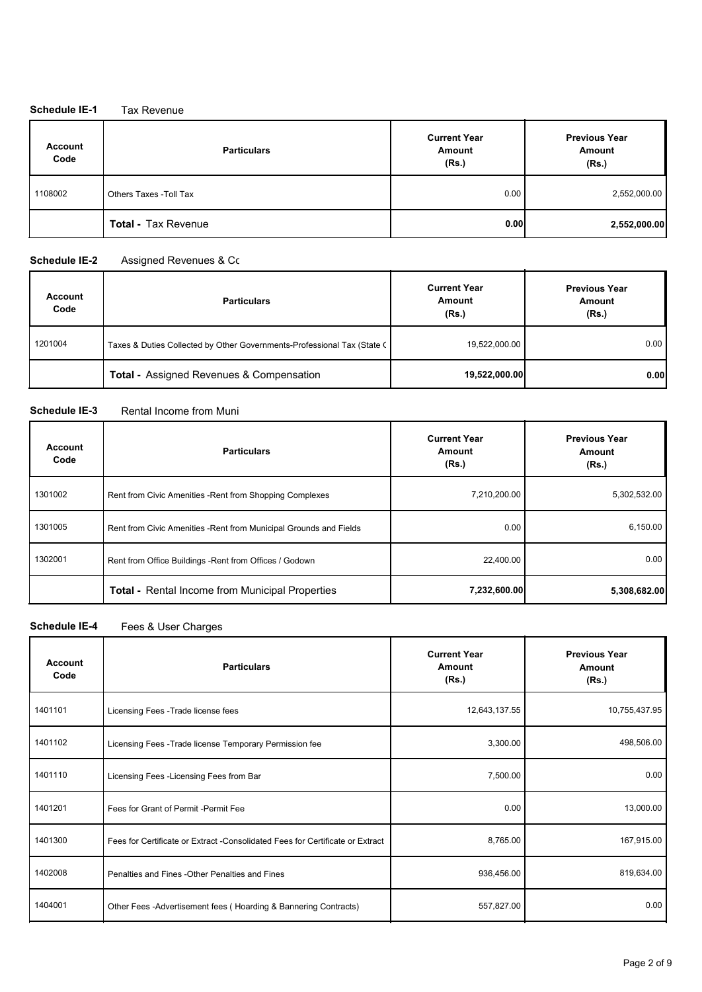### **Schedule IE-1** Tax Revenue

| <b>Account</b><br>Code | <b>Particulars</b>         | <b>Current Year</b><br>Amount<br>(Rs.) | <b>Previous Year</b><br>Amount<br>(Rs.) |
|------------------------|----------------------------|----------------------------------------|-----------------------------------------|
| 1108002                | Others Taxes - Toll Tax    | 0.00                                   | 2,552,000.00                            |
|                        | <b>Total - Tax Revenue</b> | 0.001                                  | 2,552,000.00                            |

#### **Schedule IE-2** Assigned Revenues & Competence

| <b>Account</b><br>Code | <b>Particulars</b>                                                      | <b>Current Year</b><br>Amount<br>(Rs.) | <b>Previous Year</b><br>Amount<br>(Rs.) |
|------------------------|-------------------------------------------------------------------------|----------------------------------------|-----------------------------------------|
| 1201004                | Taxes & Duties Collected by Other Governments-Professional Tax (State C | 19,522,000.00                          | 0.00                                    |
|                        | <b>Total - Assigned Revenues &amp; Compensation</b>                     | 19,522,000.00                          | 0.00                                    |

### **Schedule IE-3** Rental Income from Muni

| <b>Account</b><br>Code | <b>Particulars</b>                                                 | <b>Current Year</b><br>Amount<br>(Rs.) | <b>Previous Year</b><br>Amount<br>(Rs.) |
|------------------------|--------------------------------------------------------------------|----------------------------------------|-----------------------------------------|
| 1301002                | Rent from Civic Amenities - Rent from Shopping Complexes           | 7,210,200.00                           | 5,302,532.00                            |
| 1301005                | Rent from Civic Amenities - Rent from Municipal Grounds and Fields | 0.00                                   | 6,150.00                                |
| 1302001                | Rent from Office Buildings - Rent from Offices / Godown            | 22,400.00                              | 0.00                                    |
|                        | Total - Rental Income from Municipal Properties                    | 7.232,600.00                           | 5,308,682.00                            |

### **Schedule IE-4** Fees & User Charges

| <b>Account</b><br>Code | <b>Particulars</b>                                                             | <b>Current Year</b><br>Amount<br>(Rs.) | <b>Previous Year</b><br><b>Amount</b><br>(Rs.) |
|------------------------|--------------------------------------------------------------------------------|----------------------------------------|------------------------------------------------|
| 1401101                | Licensing Fees - Trade license fees                                            | 12,643,137.55                          | 10,755,437.95                                  |
| 1401102                | Licensing Fees - Trade license Temporary Permission fee                        | 3,300.00                               | 498,506.00                                     |
| 1401110                | Licensing Fees - Licensing Fees from Bar                                       | 7,500.00                               | 0.00                                           |
| 1401201                | Fees for Grant of Permit - Permit Fee                                          | 0.00                                   | 13,000.00                                      |
| 1401300                | Fees for Certificate or Extract - Consolidated Fees for Certificate or Extract | 8,765.00                               | 167,915.00                                     |
| 1402008                | Penalties and Fines - Other Penalties and Fines                                | 936,456.00                             | 819,634.00                                     |
| 1404001                | Other Fees - Advertisement fees (Hoarding & Bannering Contracts)               | 557,827.00                             | 0.00                                           |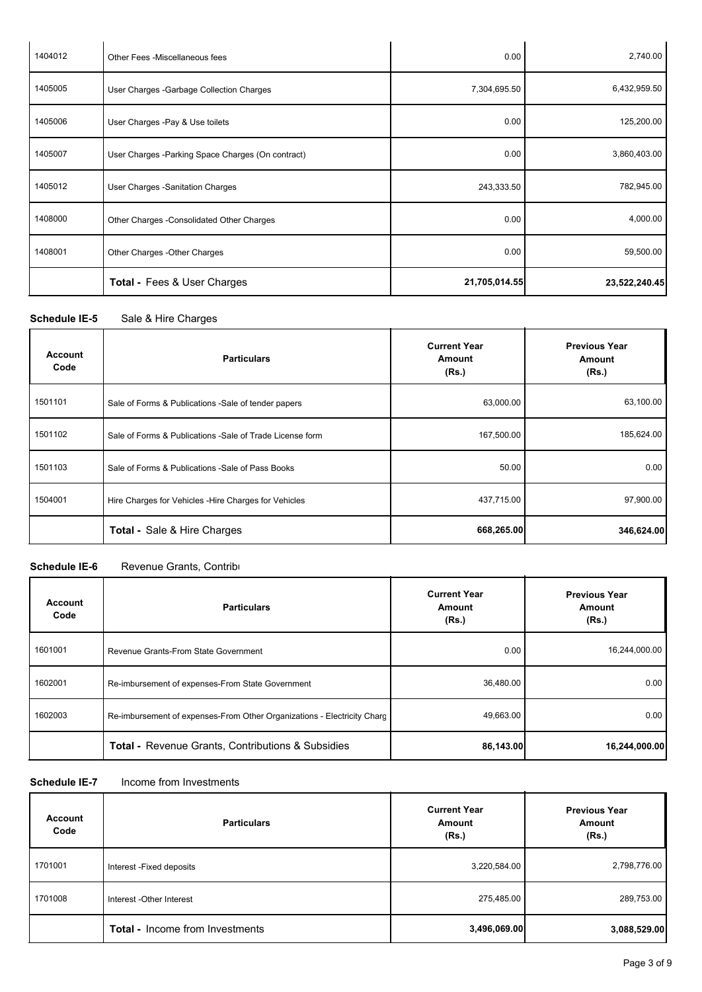| 1404012 | Other Fees - Miscellaneous fees                    | 0.00          | 2,740.00      |
|---------|----------------------------------------------------|---------------|---------------|
| 1405005 | User Charges - Garbage Collection Charges          | 7,304,695.50  | 6,432,959.50  |
| 1405006 | User Charges -Pay & Use toilets                    | 0.00          | 125,200.00    |
| 1405007 | User Charges - Parking Space Charges (On contract) | 0.00          | 3,860,403.00  |
| 1405012 | User Charges - Sanitation Charges                  | 243,333.50    | 782,945.00    |
| 1408000 | Other Charges - Consolidated Other Charges         | 0.00          | 4,000.00      |
| 1408001 | Other Charges - Other Charges                      | 0.00          | 59,500.00     |
|         | <b>Total - Fees &amp; User Charges</b>             | 21,705,014.55 | 23,522,240.45 |

Schedule IE-5 Sale & Hire Charges

| <b>Account</b><br>Code | <b>Particulars</b>                                        | <b>Current Year</b><br><b>Amount</b><br>(Rs.) | <b>Previous Year</b><br>Amount<br>(Rs.) |
|------------------------|-----------------------------------------------------------|-----------------------------------------------|-----------------------------------------|
| 1501101                | Sale of Forms & Publications - Sale of tender papers      | 63,000.00                                     | 63,100.00                               |
| 1501102                | Sale of Forms & Publications - Sale of Trade License form | 167,500.00                                    | 185,624.00                              |
| 1501103                | Sale of Forms & Publications -Sale of Pass Books          | 50.00                                         | 0.00                                    |
| 1504001                | Hire Charges for Vehicles - Hire Charges for Vehicles     | 437,715.00                                    | 97,900.00                               |
|                        | <b>Total - Sale &amp; Hire Charges</b>                    | 668,265.00                                    | 346,624.00                              |

# **Schedule IE-6** Revenue Grants, Contributions

| Account<br>Code | <b>Particulars</b>                                                      | <b>Current Year</b><br>Amount<br>(Rs.) | <b>Previous Year</b><br><b>Amount</b><br>(Rs.) |
|-----------------|-------------------------------------------------------------------------|----------------------------------------|------------------------------------------------|
| 1601001         | Revenue Grants-From State Government                                    | 0.00                                   | 16,244,000.00                                  |
| 1602001         | Re-imbursement of expenses-From State Government                        | 36,480.00                              | 0.00                                           |
| 1602003         | Re-imbursement of expenses-From Other Organizations - Electricity Chard | 49,663.00                              | 0.00                                           |
|                 | <b>Total - Revenue Grants, Contributions &amp; Subsidies</b>            | 86,143.00                              | 16,244,000.00                                  |

**Schedule IE-7** Income from Investments

| <b>Account</b><br>Code | <b>Particulars</b>              | <b>Current Year</b><br>Amount<br>(Rs.) | <b>Previous Year</b><br>Amount<br>(Rs.) |
|------------------------|---------------------------------|----------------------------------------|-----------------------------------------|
| 1701001                | Interest - Fixed deposits       | 3,220,584.00                           | 2,798,776.00                            |
| 1701008                | Interest - Other Interest       | 275,485.00                             | 289,753.00                              |
|                        | Total - Income from Investments | 3,496,069.00                           | 3,088,529.00                            |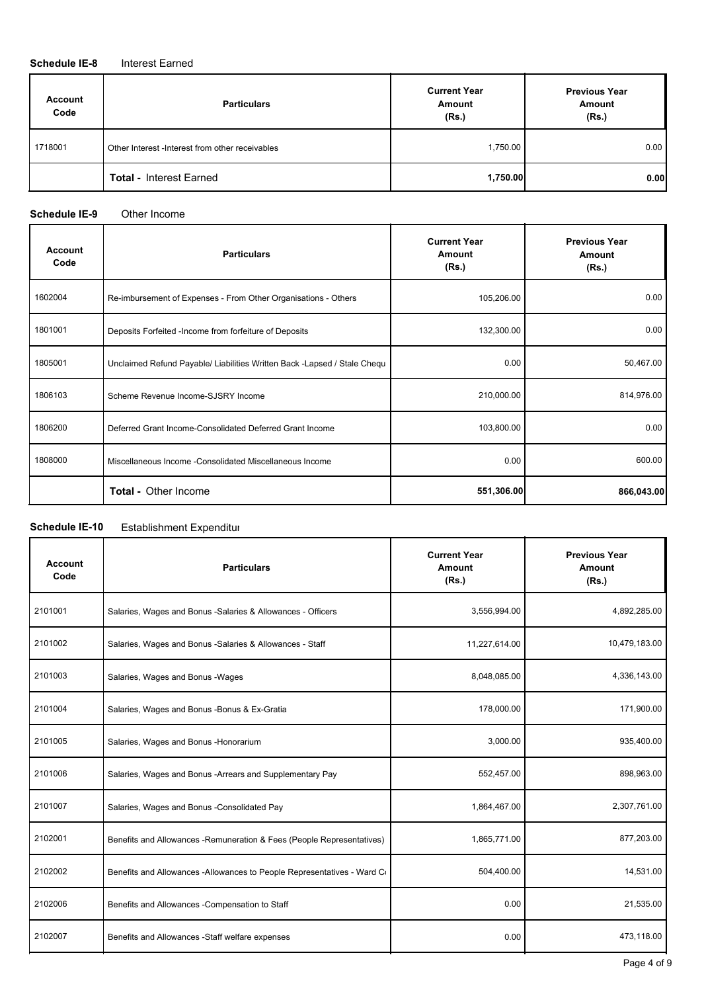#### **Schedule IE-8** Interest Earned

| <b>Account</b><br>Code | <b>Particulars</b>                               | <b>Current Year</b><br>Amount<br>(Rs.) | <b>Previous Year</b><br>Amount<br>(Rs.) |
|------------------------|--------------------------------------------------|----------------------------------------|-----------------------------------------|
| 1718001                | Other Interest - Interest from other receivables | 1,750.00                               | 0.00                                    |
|                        | <b>Total - Interest Earned</b>                   | 1,750.00                               | 0.00                                    |

### **Schedule IE-9** Other Income

| <b>Account</b><br>Code | <b>Particulars</b>                                                        | <b>Current Year</b><br>Amount<br>(Rs.) | <b>Previous Year</b><br>Amount<br>(Rs.) |
|------------------------|---------------------------------------------------------------------------|----------------------------------------|-----------------------------------------|
| 1602004                | Re-imbursement of Expenses - From Other Organisations - Others            | 105,206.00                             | 0.00                                    |
| 1801001                | Deposits Forfeited -Income from forfeiture of Deposits                    | 132,300.00                             | 0.00                                    |
| 1805001                | Unclaimed Refund Payable/ Liabilities Written Back - Lapsed / Stale Chequ | 0.00                                   | 50,467.00                               |
| 1806103                | Scheme Revenue Income-SJSRY Income                                        | 210,000.00                             | 814,976.00                              |
| 1806200                | Deferred Grant Income-Consolidated Deferred Grant Income                  | 103,800.00                             | 0.00                                    |
| 1808000                | Miscellaneous Income - Consolidated Miscellaneous Income                  | 0.00                                   | 600.00                                  |
|                        | <b>Total - Other Income</b>                                               | 551,306.00                             | 866,043.00                              |

## **Schedule IE-10** Establishment Expenditure

| <b>Account</b><br>Code | <b>Particulars</b>                                                      | <b>Current Year</b><br>Amount<br>(Rs.) | <b>Previous Year</b><br>Amount<br>(Rs.) |
|------------------------|-------------------------------------------------------------------------|----------------------------------------|-----------------------------------------|
| 2101001                | Salaries, Wages and Bonus -Salaries & Allowances - Officers             | 3,556,994.00                           | 4,892,285.00                            |
| 2101002                | Salaries, Wages and Bonus -Salaries & Allowances - Staff                | 11,227,614.00                          | 10,479,183.00                           |
| 2101003                | Salaries, Wages and Bonus - Wages                                       | 8,048,085.00                           | 4,336,143.00                            |
| 2101004                | Salaries, Wages and Bonus - Bonus & Ex-Gratia                           | 178,000.00                             | 171,900.00                              |
| 2101005                | Salaries, Wages and Bonus - Honorarium                                  | 3,000.00                               | 935,400.00                              |
| 2101006                | Salaries, Wages and Bonus - Arrears and Supplementary Pay               | 552,457.00                             | 898,963.00                              |
| 2101007                | Salaries, Wages and Bonus - Consolidated Pay                            | 1,864,467.00                           | 2,307,761.00                            |
| 2102001                | Benefits and Allowances - Remuneration & Fees (People Representatives)  | 1,865,771.00                           | 877,203.00                              |
| 2102002                | Benefits and Allowances -Allowances to People Representatives - Ward Co | 504,400.00                             | 14,531.00                               |
| 2102006                | Benefits and Allowances -Compensation to Staff                          | 0.00                                   | 21,535.00                               |
| 2102007                | Benefits and Allowances -Staff welfare expenses                         | 0.00                                   | 473,118.00                              |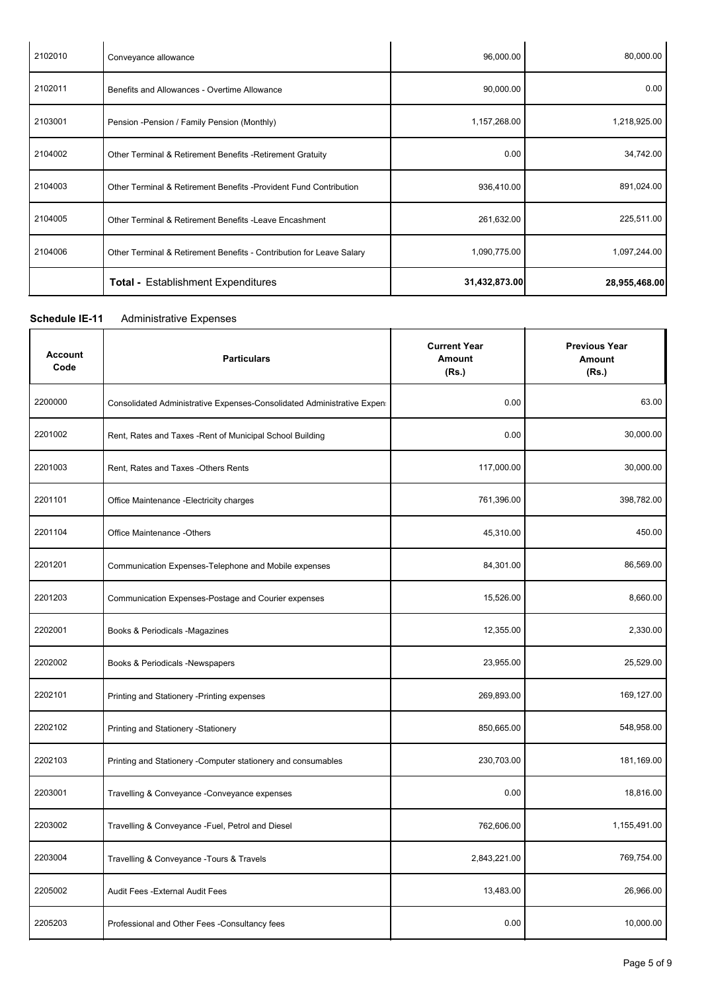| 2102010 | Conveyance allowance                                                 | 96,000.00     | 80,000.00     |
|---------|----------------------------------------------------------------------|---------------|---------------|
| 2102011 | Benefits and Allowances - Overtime Allowance                         | 90,000.00     | 0.00          |
| 2103001 | Pension - Pension / Family Pension (Monthly)                         | 1,157,268.00  | 1,218,925.00  |
| 2104002 | Other Terminal & Retirement Benefits - Retirement Gratuity           | 0.00          | 34,742.00     |
| 2104003 | Other Terminal & Retirement Benefits - Provident Fund Contribution   | 936,410.00    | 891,024.00    |
| 2104005 | Other Terminal & Retirement Benefits - Leave Encashment              | 261,632.00    | 225,511.00    |
| 2104006 | Other Terminal & Retirement Benefits - Contribution for Leave Salary | 1,090,775.00  | 1,097,244.00  |
|         | <b>Total - Establishment Expenditures</b>                            | 31,432,873.00 | 28,955,468.00 |

## **Schedule IE-11** Administrative Expenses

| <b>Account</b><br>Code | <b>Particulars</b>                                                      | <b>Current Year</b><br>Amount<br>(Rs.) | <b>Previous Year</b><br>Amount<br>(Rs.) |
|------------------------|-------------------------------------------------------------------------|----------------------------------------|-----------------------------------------|
| 2200000                | Consolidated Administrative Expenses-Consolidated Administrative Expen- | 0.00                                   | 63.00                                   |
| 2201002                | Rent, Rates and Taxes - Rent of Municipal School Building               | 0.00                                   | 30,000.00                               |
| 2201003                | Rent, Rates and Taxes -Others Rents                                     | 117,000.00                             | 30.000.00                               |
| 2201101                | Office Maintenance - Electricity charges                                | 761,396.00                             | 398,782.00                              |
| 2201104                | Office Maintenance -Others                                              | 45,310.00                              | 450.00                                  |
| 2201201                | Communication Expenses-Telephone and Mobile expenses                    | 84,301.00                              | 86,569.00                               |
| 2201203                | Communication Expenses-Postage and Courier expenses                     | 15,526.00                              | 8,660.00                                |
| 2202001                | Books & Periodicals -Magazines                                          | 12,355.00                              | 2,330.00                                |
| 2202002                | Books & Periodicals -Newspapers                                         | 23,955.00                              | 25,529.00                               |
| 2202101                | Printing and Stationery - Printing expenses                             | 269,893.00                             | 169,127.00                              |
| 2202102                | Printing and Stationery -Stationery                                     | 850,665.00                             | 548,958.00                              |
| 2202103                | Printing and Stationery - Computer stationery and consumables           | 230,703.00                             | 181,169.00                              |
| 2203001                | Travelling & Conveyance - Conveyance expenses                           | 0.00                                   | 18.816.00                               |
| 2203002                | Travelling & Conveyance - Fuel, Petrol and Diesel                       | 762,606.00                             | 1,155,491.00                            |
| 2203004                | Travelling & Conveyance - Tours & Travels                               | 2,843,221.00                           | 769,754.00                              |
| 2205002                | Audit Fees - External Audit Fees                                        | 13,483.00                              | 26,966.00                               |
| 2205203                | Professional and Other Fees -Consultancy fees                           | 0.00                                   | 10,000.00                               |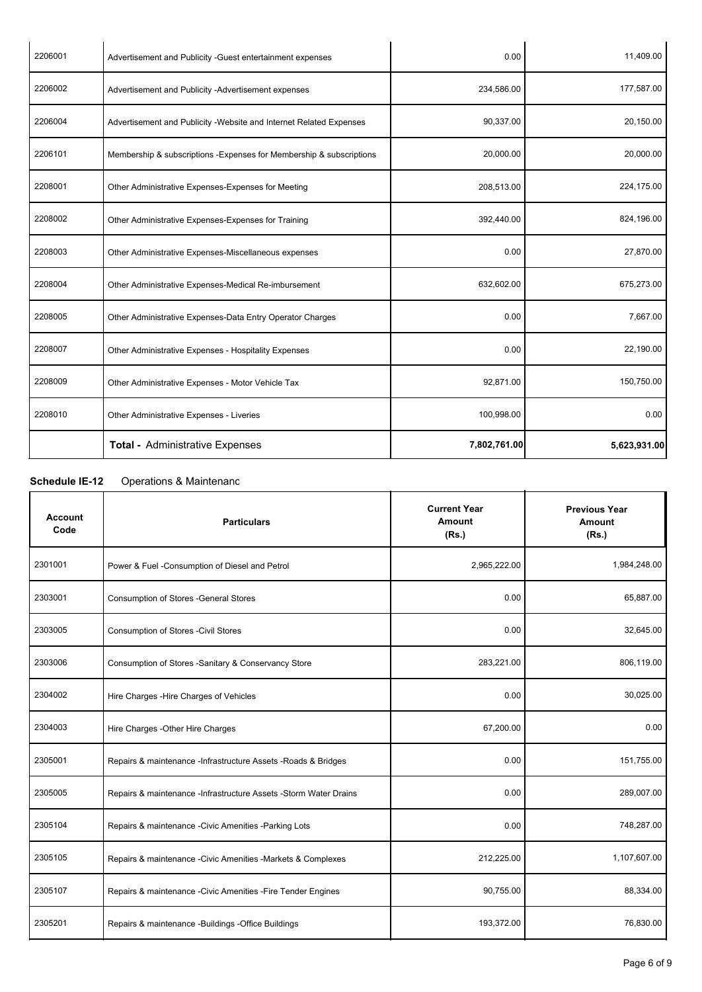| 2206001 | Advertisement and Publicity -Guest entertainment expenses            | 0.00         | 11,409.00    |
|---------|----------------------------------------------------------------------|--------------|--------------|
| 2206002 | Advertisement and Publicity -Advertisement expenses                  | 234,586.00   | 177,587.00   |
| 2206004 | Advertisement and Publicity - Website and Internet Related Expenses  | 90,337.00    | 20,150.00    |
| 2206101 | Membership & subscriptions - Expenses for Membership & subscriptions | 20,000.00    | 20,000.00    |
| 2208001 | Other Administrative Expenses-Expenses for Meeting                   | 208,513.00   | 224,175.00   |
| 2208002 | Other Administrative Expenses-Expenses for Training                  | 392,440.00   | 824,196.00   |
| 2208003 | Other Administrative Expenses-Miscellaneous expenses                 | 0.00         | 27,870.00    |
| 2208004 | Other Administrative Expenses-Medical Re-imbursement                 | 632,602.00   | 675,273.00   |
| 2208005 | Other Administrative Expenses-Data Entry Operator Charges            | 0.00         | 7,667.00     |
| 2208007 | Other Administrative Expenses - Hospitality Expenses                 | 0.00         | 22,190.00    |
| 2208009 | Other Administrative Expenses - Motor Vehicle Tax                    | 92,871.00    | 150,750.00   |
| 2208010 | Other Administrative Expenses - Liveries                             | 100,998.00   | 0.00         |
|         | <b>Total - Administrative Expenses</b>                               | 7,802,761.00 | 5,623,931.00 |

# **Schedule IE-12** Operations & Maintenance

l,

| <b>Account</b><br>Code | <b>Particulars</b>                                               | <b>Current Year</b><br>Amount<br>(Rs.) | <b>Previous Year</b><br>Amount<br>(Rs.) |
|------------------------|------------------------------------------------------------------|----------------------------------------|-----------------------------------------|
| 2301001                | Power & Fuel -Consumption of Diesel and Petrol                   | 2,965,222.00                           | 1,984,248.00                            |
| 2303001                | Consumption of Stores - General Stores                           | 0.00                                   | 65,887.00                               |
| 2303005                | <b>Consumption of Stores - Civil Stores</b>                      | 0.00                                   | 32,645.00                               |
| 2303006                | Consumption of Stores - Sanitary & Conservancy Store             | 283,221.00                             | 806,119.00                              |
| 2304002                | Hire Charges - Hire Charges of Vehicles                          | 0.00                                   | 30,025.00                               |
| 2304003                | Hire Charges - Other Hire Charges                                | 67,200.00                              | 0.00                                    |
| 2305001                | Repairs & maintenance -Infrastructure Assets -Roads & Bridges    | 0.00                                   | 151,755.00                              |
| 2305005                | Repairs & maintenance -Infrastructure Assets -Storm Water Drains | 0.00                                   | 289,007.00                              |
| 2305104                | Repairs & maintenance - Civic Amenities - Parking Lots           | 0.00                                   | 748,287.00                              |
| 2305105                | Repairs & maintenance - Civic Amenities - Markets & Complexes    | 212,225.00                             | 1,107,607.00                            |
| 2305107                | Repairs & maintenance - Civic Amenities - Fire Tender Engines    | 90,755.00                              | 88,334.00                               |
| 2305201                | Repairs & maintenance -Buildings -Office Buildings               | 193,372.00                             | 76,830.00                               |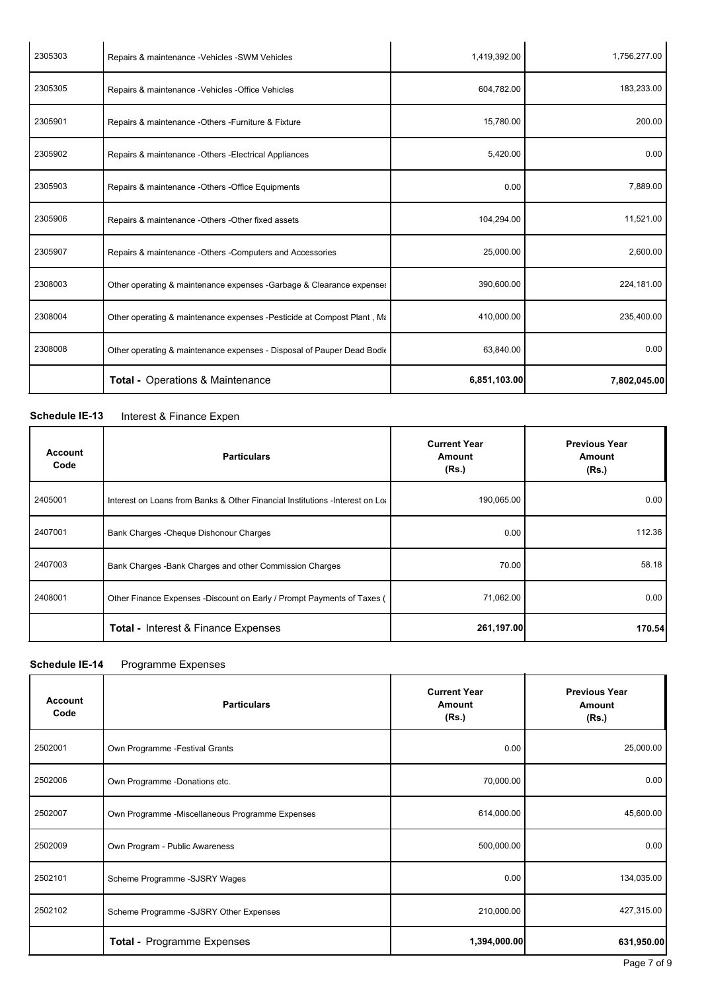| 2305303 | Repairs & maintenance -Vehicles -SWM Vehicles                           | 1,419,392.00 | 1,756,277.00 |
|---------|-------------------------------------------------------------------------|--------------|--------------|
| 2305305 | Repairs & maintenance - Vehicles - Office Vehicles                      | 604,782.00   | 183,233.00   |
| 2305901 | Repairs & maintenance - Others - Furniture & Fixture                    | 15,780.00    | 200.00       |
| 2305902 | Repairs & maintenance -Others -Electrical Appliances                    | 5,420.00     | 0.00         |
| 2305903 | Repairs & maintenance -Others -Office Equipments                        | 0.00         | 7,889.00     |
| 2305906 | Repairs & maintenance -Others -Other fixed assets                       | 104,294.00   | 11,521.00    |
| 2305907 | Repairs & maintenance -Others -Computers and Accessories                | 25,000.00    | 2,600.00     |
| 2308003 | Other operating & maintenance expenses -Garbage & Clearance expenses    | 390,600.00   | 224,181.00   |
| 2308004 | Other operating & maintenance expenses - Pesticide at Compost Plant, Ma | 410,000.00   | 235,400.00   |
| 2308008 | Other operating & maintenance expenses - Disposal of Pauper Dead Bodie  | 63,840.00    | 0.00         |
|         | Total - Operations & Maintenance                                        | 6,851,103.00 | 7,802,045.00 |

### **Schedule IE-13** Interest & Finance Expen

| <b>Account</b><br>Code | <b>Particulars</b>                                                             | <b>Current Year</b><br>Amount<br>(Rs.) | <b>Previous Year</b><br>Amount<br>(Rs.) |
|------------------------|--------------------------------------------------------------------------------|----------------------------------------|-----------------------------------------|
| 2405001                | Interest on Loans from Banks & Other Financial Institutions - Interest on Loan | 190,065.00                             | 0.00                                    |
| 2407001                | Bank Charges - Cheque Dishonour Charges                                        | 0.00                                   | 112.36                                  |
| 2407003                | Bank Charges - Bank Charges and other Commission Charges                       | 70.00                                  | 58.18                                   |
| 2408001                | Other Finance Expenses -Discount on Early / Prompt Payments of Taxes (         | 71,062.00                              | 0.00                                    |
|                        | <b>Total - Interest &amp; Finance Expenses</b>                                 | 261,197.00                             | 170.54                                  |

#### **Schedule IE-14** Programme Expenses

| <b>Account</b><br>Code | <b>Particulars</b>                              | <b>Current Year</b><br>Amount<br>(Rs.) | <b>Previous Year</b><br><b>Amount</b><br>(Rs.) |
|------------------------|-------------------------------------------------|----------------------------------------|------------------------------------------------|
| 2502001                | Own Programme - Festival Grants                 | 0.00                                   | 25,000.00                                      |
| 2502006                | Own Programme -Donations etc.                   | 70,000.00                              | 0.00                                           |
| 2502007                | Own Programme -Miscellaneous Programme Expenses | 614,000.00                             | 45,600.00                                      |
| 2502009                | Own Program - Public Awareness                  | 500,000.00                             | 0.00                                           |
| 2502101                | Scheme Programme -SJSRY Wages                   | 0.00                                   | 134,035.00                                     |
| 2502102                | Scheme Programme -SJSRY Other Expenses          | 210,000.00                             | 427,315.00                                     |
|                        | <b>Total - Programme Expenses</b>               | 1,394,000.00                           | 631,950.00                                     |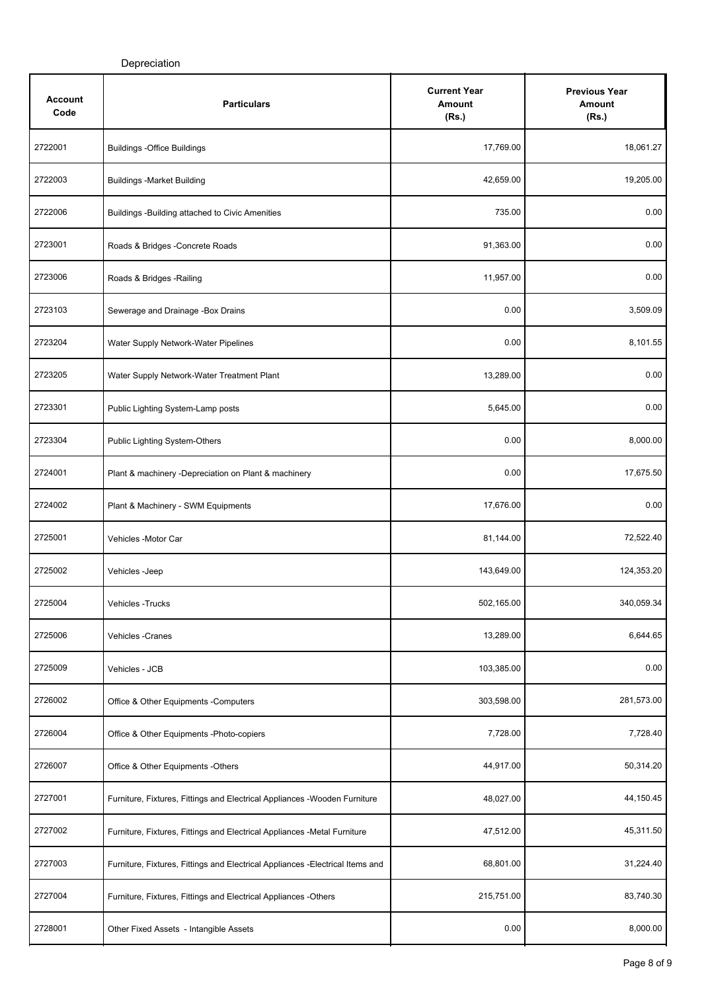| Account<br>Code | <b>Particulars</b>                                                             | <b>Current Year</b><br>Amount<br>(Rs.) | <b>Previous Year</b><br>Amount<br>(Rs.) |
|-----------------|--------------------------------------------------------------------------------|----------------------------------------|-----------------------------------------|
| 2722001         | <b>Buildings -Office Buildings</b>                                             | 17,769.00                              | 18,061.27                               |
| 2722003         | <b>Buildings -Market Building</b>                                              | 42,659.00                              | 19,205.00                               |
| 2722006         | Buildings - Building attached to Civic Amenities                               | 735.00                                 | 0.00                                    |
| 2723001         | Roads & Bridges - Concrete Roads                                               | 91,363.00                              | 0.00                                    |
| 2723006         | Roads & Bridges - Railing                                                      | 11,957.00                              | 0.00                                    |
| 2723103         | Sewerage and Drainage -Box Drains                                              | 0.00                                   | 3,509.09                                |
| 2723204         | Water Supply Network-Water Pipelines                                           | 0.00                                   | 8,101.55                                |
| 2723205         | Water Supply Network-Water Treatment Plant                                     | 13,289.00                              | 0.00                                    |
| 2723301         | Public Lighting System-Lamp posts                                              | 5,645.00                               | 0.00                                    |
| 2723304         | Public Lighting System-Others                                                  | 0.00                                   | 8,000.00                                |
| 2724001         | Plant & machinery -Depreciation on Plant & machinery                           | 0.00                                   | 17,675.50                               |
| 2724002         | Plant & Machinery - SWM Equipments                                             | 17,676.00                              | 0.00                                    |
| 2725001         | Vehicles -Motor Car                                                            | 81,144.00                              | 72,522.40                               |
| 2725002         | Vehicles -Jeep                                                                 | 143,649.00                             | 124,353.20                              |
| 2725004         | Vehicles - Trucks                                                              | 502,165.00                             | 340,059.34                              |
| 2725006         | Vehicles - Cranes                                                              | 13,289.00                              | 6,644.65                                |
| 2725009         | Vehicles - JCB                                                                 | 103,385.00                             | 0.00                                    |
| 2726002         | Office & Other Equipments - Computers                                          | 303,598.00                             | 281,573.00                              |
| 2726004         | Office & Other Equipments -Photo-copiers                                       | 7,728.00                               | 7,728.40                                |
| 2726007         | Office & Other Equipments -Others                                              | 44,917.00                              | 50,314.20                               |
| 2727001         | Furniture, Fixtures, Fittings and Electrical Appliances - Wooden Furniture     | 48,027.00                              | 44,150.45                               |
| 2727002         | Furniture, Fixtures, Fittings and Electrical Appliances -Metal Furniture       | 47,512.00                              | 45,311.50                               |
| 2727003         | Furniture, Fixtures, Fittings and Electrical Appliances - Electrical Items and | 68,801.00                              | 31,224.40                               |
| 2727004         | Furniture, Fixtures, Fittings and Electrical Appliances -Others                | 215,751.00                             | 83,740.30                               |
| 2728001         | Other Fixed Assets - Intangible Assets                                         | 0.00                                   | 8,000.00                                |